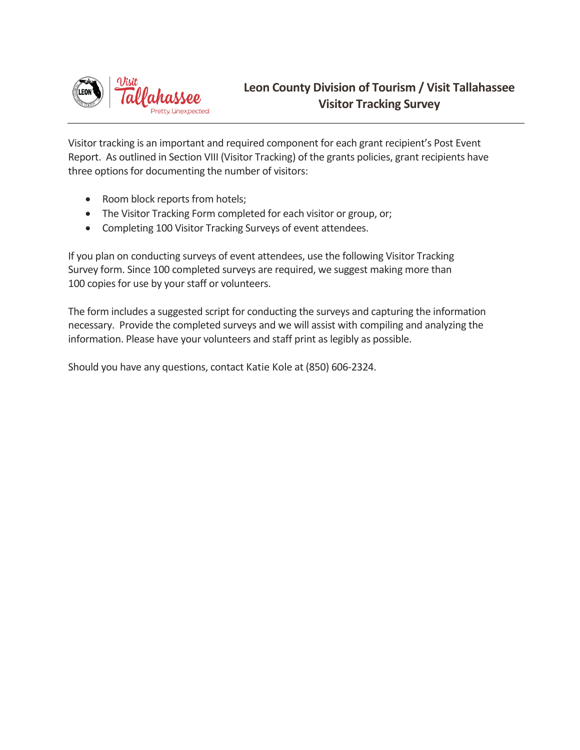

Visitor tracking is an important and required component for each grant recipient's Post Event Report. As outlined in Section VIII (Visitor Tracking) of the grants policies, grant recipients have three options for documenting the number of visitors:

- Room block reports from hotels;
- The Visitor Tracking Form completed for each visitor or group, or;
- Completing 100 Visitor Tracking Surveys of event attendees.

If you plan on conducting surveys of event attendees, use the following Visitor Tracking Survey form. Since 100 completed surveys are required, we suggest making more than 100 copies for use by your staff or volunteers.

The form includes a suggested script for conducting the surveys and capturing the information necessary. Provide the completed surveys and we will assist with compiling and analyzing the information. Please have your volunteers and staff print as legibly as possible.

Should you have any questions, contact Katie Kole at (850) 606-2324.